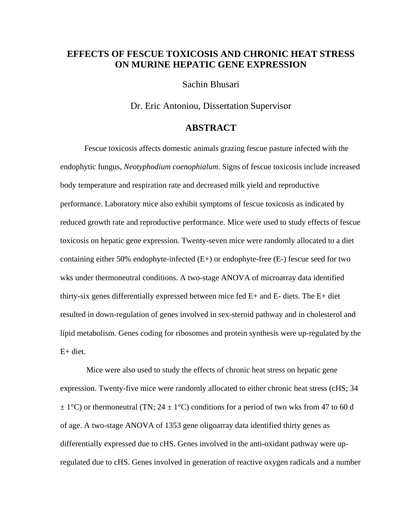## **EFFECTS OF FESCUE TOXICOSIS AND CHRONIC HEAT STRESS ON MURINE HEPATIC GENE EXPRESSION**

Sachin Bhusari

Dr. Eric Antoniou, Dissertation Supervisor

## **ABSTRACT**

Fescue toxicosis affects domestic animals grazing fescue pasture infected with the endophytic fungus, *Neotyphodium coenophialum*. Signs of fescue toxicosis include increased body temperature and respiration rate and decreased milk yield and reproductive performance. Laboratory mice also exhibit symptoms of fescue toxicosis as indicated by reduced growth rate and reproductive performance. Mice were used to study effects of fescue toxicosis on hepatic gene expression. Twenty-seven mice were randomly allocated to a diet containing either 50% endophyte-infected (E+) or endophyte-free (E-) fescue seed for two wks under thermoneutral conditions. A two-stage ANOVA of microarray data identified thirty-six genes differentially expressed between mice fed  $E+$  and  $E-$  diets. The  $E+$  diet resulted in down-regulation of genes involved in sex-steroid pathway and in cholesterol and lipid metabolism. Genes coding for ribosomes and protein synthesis were up-regulated by the  $E+$  diet.

 Mice were also used to study the effects of chronic heat stress on hepatic gene expression. Twenty-five mice were randomly allocated to either chronic heat stress (cHS; 34  $\pm$  1<sup>o</sup>C) or thermoneutral (TN; 24  $\pm$  1<sup>o</sup>C) conditions for a period of two wks from 47 to 60 d of age. A two-stage ANOVA of 1353 gene oligoarray data identified thirty genes as differentially expressed due to cHS. Genes involved in the anti-oxidant pathway were upregulated due to cHS. Genes involved in generation of reactive oxygen radicals and a number